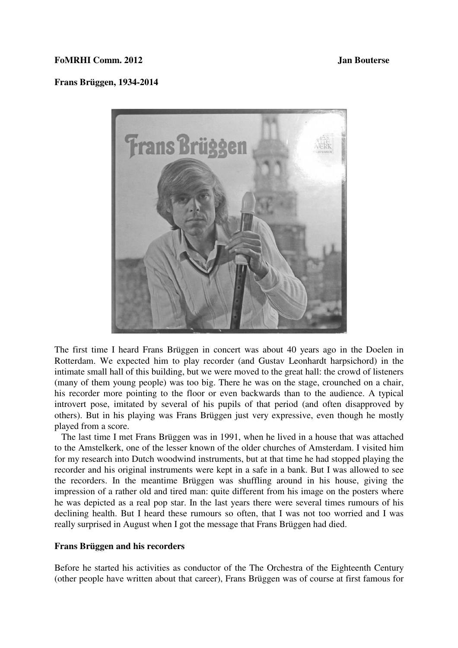## **FoMRHI Comm. 2012 Jan Bouterse**

## **Frans Brüggen, 1934-2014**



The first time I heard Frans Brüggen in concert was about 40 years ago in the Doelen in Rotterdam. We expected him to play recorder (and Gustav Leonhardt harpsichord) in the intimate small hall of this building, but we were moved to the great hall: the crowd of listeners (many of them young people) was too big. There he was on the stage, crounched on a chair, his recorder more pointing to the floor or even backwards than to the audience. A typical introvert pose, imitated by several of his pupils of that period (and often disapproved by others). But in his playing was Frans Brüggen just very expressive, even though he mostly played from a score.

 The last time I met Frans Brüggen was in 1991, when he lived in a house that was attached to the Amstelkerk, one of the lesser known of the older churches of Amsterdam. I visited him for my research into Dutch woodwind instruments, but at that time he had stopped playing the recorder and his original instruments were kept in a safe in a bank. But I was allowed to see the recorders. In the meantime Brüggen was shuffling around in his house, giving the impression of a rather old and tired man: quite different from his image on the posters where he was depicted as a real pop star. In the last years there were several times rumours of his declining health. But I heard these rumours so often, that I was not too worried and I was really surprised in August when I got the message that Frans Brüggen had died.

### **Frans Brüggen and his recorders**

Before he started his activities as conductor of the The Orchestra of the Eighteenth Century (other people have written about that career), Frans Brüggen was of course at first famous for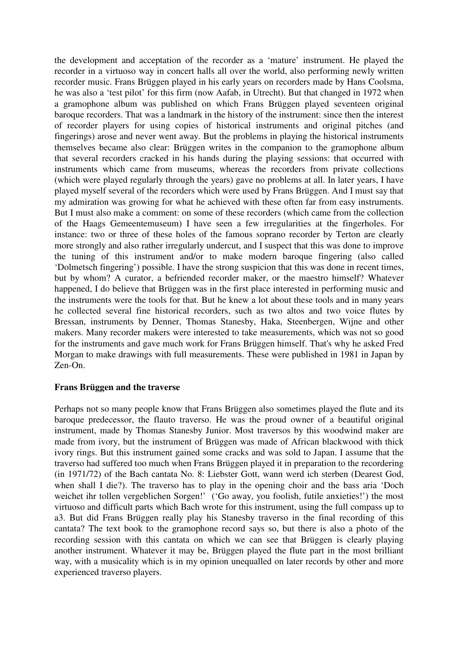the development and acceptation of the recorder as a 'mature' instrument. He played the recorder in a virtuoso way in concert halls all over the world, also performing newly written recorder music. Frans Brüggen played in his early years on recorders made by Hans Coolsma, he was also a 'test pilot' for this firm (now Aafab, in Utrecht). But that changed in 1972 when a gramophone album was published on which Frans Brüggen played seventeen original baroque recorders. That was a landmark in the history of the instrument: since then the interest of recorder players for using copies of historical instruments and original pitches (and fingerings) arose and never went away. But the problems in playing the historical instruments themselves became also clear: Brüggen writes in the companion to the gramophone album that several recorders cracked in his hands during the playing sessions: that occurred with instruments which came from museums, whereas the recorders from private collections (which were played regularly through the years) gave no problems at all. In later years, I have played myself several of the recorders which were used by Frans Brüggen. And I must say that my admiration was growing for what he achieved with these often far from easy instruments. But I must also make a comment: on some of these recorders (which came from the collection of the Haags Gemeentemuseum) I have seen a few irregularities at the fingerholes. For instance: two or three of these holes of the famous soprano recorder by Terton are clearly more strongly and also rather irregularly undercut, and I suspect that this was done to improve the tuning of this instrument and/or to make modern baroque fingering (also called 'Dolmetsch fingering') possible. I have the strong suspicion that this was done in recent times, but by whom? A curator, a befriended recorder maker, or the maestro himself? Whatever happened, I do believe that Brüggen was in the first place interested in performing music and the instruments were the tools for that. But he knew a lot about these tools and in many years he collected several fine historical recorders, such as two altos and two voice flutes by Bressan, instruments by Denner, Thomas Stanesby, Haka, Steenbergen, Wijne and other makers. Many recorder makers were interested to take measurements, which was not so good for the instruments and gave much work for Frans Brüggen himself. That's why he asked Fred Morgan to make drawings with full measurements. These were published in 1981 in Japan by Zen-On.

# **Frans Brüggen and the traverse**

Perhaps not so many people know that Frans Brüggen also sometimes played the flute and its baroque predecessor, the flauto traverso. He was the proud owner of a beautiful original instrument, made by Thomas Stanesby Junior. Most traversos by this woodwind maker are made from ivory, but the instrument of Brüggen was made of African blackwood with thick ivory rings. But this instrument gained some cracks and was sold to Japan. I assume that the traverso had suffered too much when Frans Brüggen played it in preparation to the recordering (in 1971/72) of the Bach cantata No. 8: Liebster Gott, wann werd ich sterben (Dearest God, when shall I die?). The traverso has to play in the opening choir and the bass aria 'Doch weichet ihr tollen vergeblichen Sorgen!' ('Go away, you foolish, futile anxieties!') the most virtuoso and difficult parts which Bach wrote for this instrument, using the full compass up to a3. But did Frans Brüggen really play his Stanesby traverso in the final recording of this cantata? The text book to the gramophone record says so, but there is also a photo of the recording session with this cantata on which we can see that Brüggen is clearly playing another instrument. Whatever it may be, Brüggen played the flute part in the most brilliant way, with a musicality which is in my opinion unequalled on later records by other and more experienced traverso players.